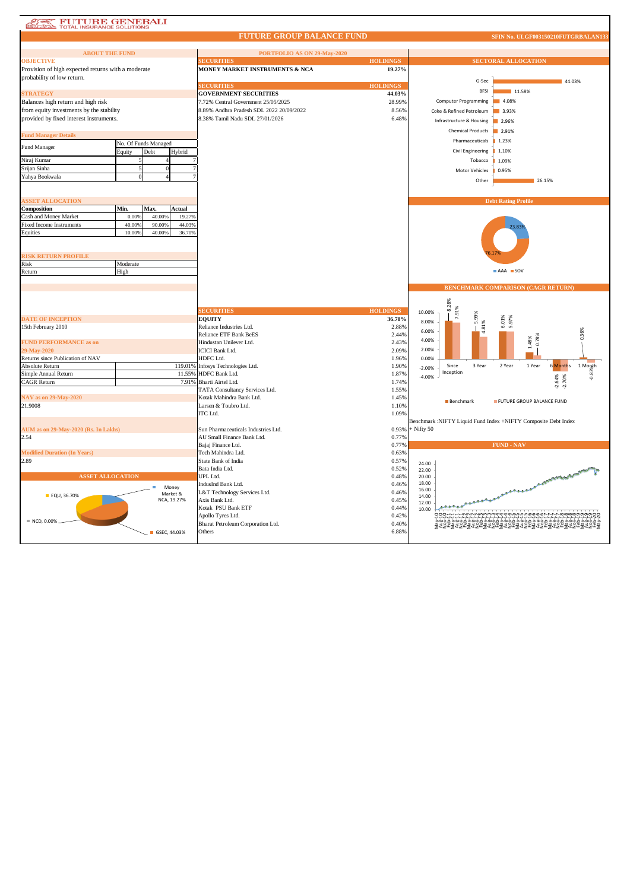| <b>FUTURE GENERALI</b><br>TOTAL INSURANCE SOLUTIONS<br>85 |                      |                         |                                                   |                 |                                                                |                             |                                                                                                                       |  |
|-----------------------------------------------------------|----------------------|-------------------------|---------------------------------------------------|-----------------|----------------------------------------------------------------|-----------------------------|-----------------------------------------------------------------------------------------------------------------------|--|
|                                                           |                      |                         | <b>FUTURE GROUP BALANCE FUND</b>                  |                 |                                                                |                             | SFIN No. ULGF003150210FUTGRBALAN133                                                                                   |  |
|                                                           |                      |                         |                                                   |                 |                                                                |                             |                                                                                                                       |  |
| <b>ABOUT THE FUND</b><br><b>OBJECTIVE</b>                 |                      |                         | PORTFOLIO AS ON 29-May-2020<br><b>SECURITIES</b>  | <b>HOLDINGS</b> |                                                                |                             | <b>SECTORAL ALLOCATION</b>                                                                                            |  |
| Provision of high expected returns with a moderate        |                      |                         | MONEY MARKET INSTRUMENTS & NCA                    | 19.27%          |                                                                |                             |                                                                                                                       |  |
| probability of low return.                                |                      |                         |                                                   |                 |                                                                |                             |                                                                                                                       |  |
|                                                           |                      |                         | <b>SECURITIES</b>                                 | <b>HOLDINGS</b> |                                                                | G-Sec                       | 44.03%                                                                                                                |  |
| <b>STRATEGY</b>                                           |                      |                         | <b>GOVERNMENT SECURITIES</b>                      | 44.03%          |                                                                | <b>BFSI</b>                 | 11.58%                                                                                                                |  |
| Balances high return and high risk                        |                      |                         | 7.72% Central Government 25/05/2025               | 28.99%          |                                                                | <b>Computer Programming</b> | 4.08%                                                                                                                 |  |
| from equity investments by the stability                  |                      |                         | 8.89% Andhra Pradesh SDL 2022 20/09/2022          | 8.56%           |                                                                | Coke & Refined Petroleum    | 3.93%                                                                                                                 |  |
| provided by fixed interest instruments.                   |                      |                         | 8.38% Tamil Nadu SDL 27/01/2026                   | 6.48%           |                                                                |                             |                                                                                                                       |  |
|                                                           |                      |                         |                                                   |                 |                                                                | Infrastructure & Housing    | 2.96%                                                                                                                 |  |
| <b>Fund Manager Details</b>                               |                      |                         |                                                   |                 |                                                                | <b>Chemical Products</b>    | 2.91%                                                                                                                 |  |
|                                                           | No. Of Funds Managed |                         |                                                   |                 |                                                                | Pharmaceuticals             | 1.23%                                                                                                                 |  |
| Fund Manager                                              | Equity               | Debt<br>Hybrid          |                                                   |                 |                                                                | Civil Engineering           | 1.10%                                                                                                                 |  |
| Niraj Kumar                                               |                      |                         |                                                   |                 |                                                                | Tobacco                     | 1.09%                                                                                                                 |  |
| Srijan Sinha                                              |                      |                         |                                                   |                 |                                                                | Motor Vehicles              | 0.95%                                                                                                                 |  |
| Yahya Bookwala                                            |                      |                         |                                                   |                 |                                                                |                             |                                                                                                                       |  |
|                                                           |                      |                         |                                                   |                 |                                                                | Other                       | 26.15%                                                                                                                |  |
| <b>SSET ALLOCATION</b>                                    |                      |                         |                                                   |                 |                                                                |                             | <b>Debt Rating Profile</b>                                                                                            |  |
| Composition                                               | Min.                 | Max.<br>Actual          |                                                   |                 |                                                                |                             |                                                                                                                       |  |
| Cash and Money Market                                     | 0.00%                | 40.00%                  | 19.27%                                            |                 |                                                                |                             |                                                                                                                       |  |
| <b>Fixed Income Instruments</b>                           | 40.00%               | 90.00%                  | 44.03%                                            |                 |                                                                |                             | 23.83                                                                                                                 |  |
| Equities                                                  | 10.00%               | 40.00%                  | 36.70%                                            |                 |                                                                |                             |                                                                                                                       |  |
|                                                           |                      |                         |                                                   |                 |                                                                |                             |                                                                                                                       |  |
|                                                           |                      |                         |                                                   |                 |                                                                |                             |                                                                                                                       |  |
| <b>ISK RETURN PROFILE</b><br>Risk                         | Moderate             |                         |                                                   |                 |                                                                |                             |                                                                                                                       |  |
| Return                                                    | High                 |                         |                                                   |                 |                                                                |                             | AAA SOV                                                                                                               |  |
|                                                           |                      |                         |                                                   |                 |                                                                |                             |                                                                                                                       |  |
|                                                           |                      |                         |                                                   |                 |                                                                |                             | <b>BENCHMARK COMPARISON (CAGR RETURN)</b>                                                                             |  |
|                                                           |                      |                         |                                                   |                 |                                                                |                             |                                                                                                                       |  |
|                                                           |                      |                         |                                                   |                 |                                                                | 8.28%                       |                                                                                                                       |  |
|                                                           |                      |                         | <b>SECURITIES</b>                                 | <b>HOLDINGS</b> | 10.00%                                                         | 7.91%                       |                                                                                                                       |  |
| <b>DATE OF INCEPTION</b>                                  |                      |                         | <b>EOUITY</b>                                     | 36.70%          | 8.00%                                                          | 5.99%                       | 6.01%<br>5.97%                                                                                                        |  |
| 15th February 2010                                        |                      |                         | Reliance Industries Ltd.                          | 2.88%           | 6.00%                                                          | 4.81%                       |                                                                                                                       |  |
|                                                           |                      |                         | <b>Reliance ETF Bank BeES</b>                     | 2.44%           | 4.00%                                                          |                             | 0.36%<br>0.78%                                                                                                        |  |
| <b>FUND PERFORMANCE as on</b><br>9-May-2020               |                      |                         | Hindustan Unilever Ltd.<br><b>ICICI Bank Ltd.</b> | 2.43%<br>2.09%  | 2.00%                                                          |                             | 1.48%                                                                                                                 |  |
| Returns since Publication of NAV                          |                      |                         | HDFC Ltd.                                         | 1.96%           | 0.00%                                                          |                             |                                                                                                                       |  |
| <b>Absolute Return</b>                                    |                      | 119.01%                 | Infosys Technologies Ltd.                         | 1.90%           | $-2.00%$                                                       | Since<br>3 Year             | 2 Year<br>1 Year<br><b>6 Months</b>                                                                                   |  |
| Simple Annual Return                                      |                      |                         | 11.559<br>HDFC Bank Ltd.                          | 1.87%           |                                                                | Inception                   | $\begin{array}{c}\n1 \text{ Mogth} \\ \begin{array}{c}\n\text{my} \\ \text{mg} \\ \text{q}\n\end{array}\n\end{array}$ |  |
| <b>CAGR Return</b>                                        |                      |                         | 7.91%<br>Bharti Airtel Ltd.                       | 1.74%           | $-4.00%$                                                       |                             | $-2.64%$<br>$-2.70%$                                                                                                  |  |
|                                                           |                      |                         | TATA Consultancy Services Ltd.                    | 1.55%           |                                                                |                             |                                                                                                                       |  |
| <b>NAV as on 29-May-2020</b>                              |                      |                         | Kotak Mahindra Bank Ltd.                          | 1.45%           |                                                                | Benchmark                   | FUTURE GROUP BALANCE FUND                                                                                             |  |
| 21.9008                                                   |                      |                         | Larsen & Toubro Ltd.                              | 1.10%           |                                                                |                             |                                                                                                                       |  |
|                                                           |                      |                         | ITC Ltd.                                          | 1.09%           |                                                                |                             |                                                                                                                       |  |
|                                                           |                      |                         |                                                   |                 | Benchmark :NIFTY Liquid Fund Index +NIFTY Composite Debt Index |                             |                                                                                                                       |  |
| AUM as on 29-May-2020 (Rs. In Lakhs)                      |                      |                         | Sun Pharmaceuticals Industries Ltd.               | 0.93%           | $+$ Nifty 50                                                   |                             |                                                                                                                       |  |
| 2.54                                                      |                      |                         | AU Small Finance Bank Ltd.                        | 0.77%           |                                                                |                             |                                                                                                                       |  |
| <b>Modified Duration (In Years)</b>                       |                      |                         | Bajaj Finance Ltd.<br>Tech Mahindra Ltd.          | 0.77%<br>0.63%  |                                                                |                             | <b>FUND - NAV</b>                                                                                                     |  |
|                                                           |                      |                         | State Bank of India                               | 0.57%           |                                                                |                             |                                                                                                                       |  |
|                                                           |                      |                         | Bata India Ltd.                                   | 0.52%           | 24.00                                                          |                             |                                                                                                                       |  |
| 2.89                                                      |                      |                         |                                                   |                 | 22.00                                                          |                             |                                                                                                                       |  |
|                                                           |                      |                         |                                                   |                 |                                                                |                             |                                                                                                                       |  |
| <b>ASSET ALLOCATION</b>                                   |                      |                         | UPL Ltd.                                          | 0.48%           | 20.00<br>18.00                                                 |                             |                                                                                                                       |  |
|                                                           |                      | Money                   | IndusInd Bank Ltd.                                | 0.46%           | 16.00                                                          |                             | <b>Communication of Communication</b>                                                                                 |  |
| <b>EQU, 36.70%</b>                                        |                      | Market &<br>NCA, 19.27% | L&T Technology Services Ltd.<br>Axis Bank Ltd.    | 0.46%<br>0.45%  | 14.00                                                          |                             |                                                                                                                       |  |
|                                                           |                      |                         | Kotak PSU Bank ETF                                | 0.44%           | 12.00<br>10.00                                                 |                             |                                                                                                                       |  |
|                                                           |                      |                         | Apollo Tyres Ltd.                                 | 0.42%           |                                                                |                             |                                                                                                                       |  |
| NCD, 0.00%                                                |                      |                         | Bharat Petroleum Corporation Ltd.                 | 0.40%           |                                                                |                             |                                                                                                                       |  |
|                                                           |                      | GSEC, 44.03%            | Others                                            | 6.88%           |                                                                |                             | 242523425242542542542                                                                                                 |  |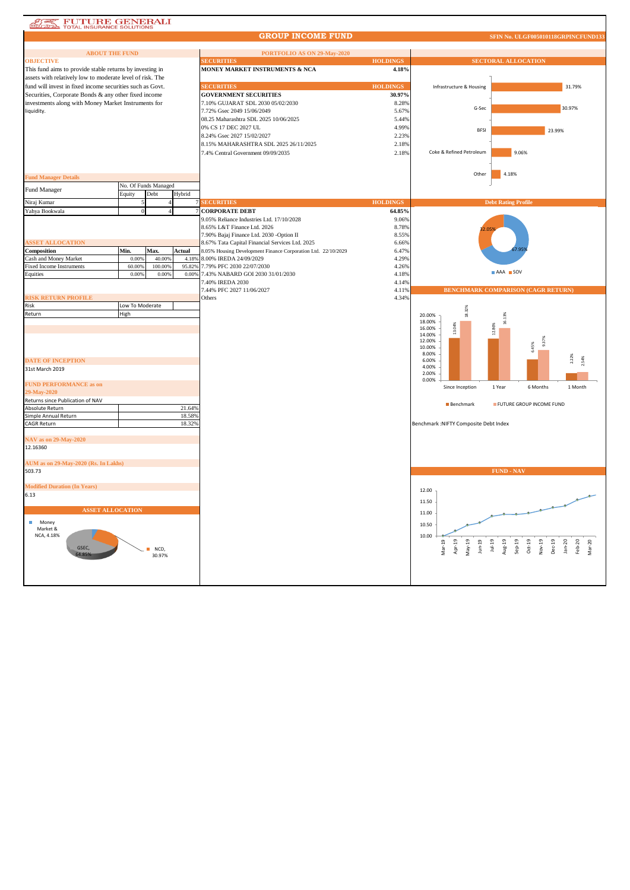## **ATE FUTURE GENERALI**

**GROUP INCOME FUND**

| <b>ABOUT THE FUND</b>                                     |                 |                      |                 | PORTFOLIO AS ON 29-May-2020                                   |                 |                                           |                                                                                        |  |
|-----------------------------------------------------------|-----------------|----------------------|-----------------|---------------------------------------------------------------|-----------------|-------------------------------------------|----------------------------------------------------------------------------------------|--|
| <b>OBJECTIVE</b>                                          |                 |                      |                 | <b>SECURITIES</b>                                             | <b>HOLDINGS</b> | <b>SECTORAL ALLOCATION</b>                |                                                                                        |  |
| This fund aims to provide stable returns by investing in  |                 |                      |                 | MONEY MARKET INSTRUMENTS & NCA                                | 4.18%           |                                           |                                                                                        |  |
| assets with relatively low to moderate level of risk. The |                 |                      |                 |                                                               |                 |                                           |                                                                                        |  |
| fund will invest in fixed income securities such as Govt. |                 |                      |                 | <b>SECURITIES</b>                                             | <b>HOLDINGS</b> | Infrastructure & Housing                  | 31.79%                                                                                 |  |
| Securities, Corporate Bonds & any other fixed income      |                 |                      |                 | <b>GOVERNMENT SECURITIES</b>                                  | 30.97%          |                                           |                                                                                        |  |
| investments along with Money Market Instruments for       |                 |                      |                 | 7.10% GUJARAT SDL 2030 05/02/2030                             | 8.28%           |                                           |                                                                                        |  |
| liquidity.                                                |                 |                      |                 | 7.72% Gsec 2049 15/06/2049                                    | 5.67%           | G-Sec                                     | 30.97%                                                                                 |  |
|                                                           |                 |                      |                 | 08.25 Maharashtra SDL 2025 10/06/2025                         | 5.44%           |                                           |                                                                                        |  |
|                                                           |                 |                      |                 | 0% CS 17 DEC 2027 UL                                          | 4.99%           | <b>BFSI</b>                               | 23.99%                                                                                 |  |
|                                                           |                 |                      |                 | 8.24% Gsec 2027 15/02/2027                                    | 2.23%           |                                           |                                                                                        |  |
|                                                           |                 |                      |                 | 8.15% MAHARASHTRA SDL 2025 26/11/2025                         | 2.18%           |                                           |                                                                                        |  |
|                                                           |                 |                      |                 | 7.4% Central Government 09/09/2035                            | 2.18%           | Coke & Refined Petroleum                  | 9.06%                                                                                  |  |
|                                                           |                 |                      |                 |                                                               |                 |                                           |                                                                                        |  |
|                                                           |                 |                      |                 |                                                               |                 |                                           |                                                                                        |  |
| <b>Fund Manager Details</b>                               |                 |                      |                 |                                                               |                 | Other                                     | 4.18%                                                                                  |  |
| Fund Manager                                              |                 | No. Of Funds Managed |                 |                                                               |                 |                                           |                                                                                        |  |
|                                                           | Equity          | Debt                 | Hybrid          |                                                               |                 |                                           |                                                                                        |  |
| Niraj Kumar                                               |                 |                      |                 | <b>SECURITIES</b>                                             | <b>HOLDINGS</b> |                                           | <b>Debt Rating Profile</b>                                                             |  |
| Yahya Bookwala                                            |                 |                      |                 | <b>CORPORATE DEBT</b>                                         | 64.85%          |                                           |                                                                                        |  |
|                                                           |                 |                      |                 | 9.05% Reliance Industries Ltd. 17/10/2028                     | 9.06%           |                                           |                                                                                        |  |
|                                                           |                 |                      |                 | 8.65% L&T Finance Ltd. 2026                                   | 8.78%           |                                           |                                                                                        |  |
|                                                           |                 |                      |                 | 7.90% Bajaj Finance Ltd. 2030 - Option II                     | 8.55%           |                                           |                                                                                        |  |
| <b>ASSET ALLOCATION</b>                                   |                 |                      |                 | 8.67% Tata Capital Financial Services Ltd. 2025               | 6.66%           |                                           |                                                                                        |  |
| Composition                                               | Min.            | Max.                 | Actual          | 8.05% Housing Development Finance Corporation Ltd. 22/10/2029 | 6.47%           |                                           |                                                                                        |  |
| Cash and Money Market<br><b>Fixed Income Instruments</b>  | 0.00%<br>60.00% | 40.00%<br>100.00%    | 4.18%<br>95.82% | 8.00% IREDA 24/09/2029<br>7.79% PFC 2030 22/07/2030           | 4.29%<br>4.26%  |                                           |                                                                                        |  |
| Equities                                                  | 0.00%           | 0.00%                | 0.00%           | 7.43% NABARD GOI 2030 31/01/2030                              | 4.18%           |                                           | AAA SOV                                                                                |  |
|                                                           |                 |                      |                 | 7.40% IREDA 2030                                              | 4.14%           |                                           |                                                                                        |  |
|                                                           |                 |                      |                 | 7.44% PFC 2027 11/06/2027                                     | 4.11%           |                                           | <b>BENCHMARK COMPARISON (CAGR RETURN)</b>                                              |  |
| <b>RISK RETURN PROFILE</b>                                |                 |                      |                 | Others                                                        | 4.34%           |                                           |                                                                                        |  |
| Risk                                                      | Low To Moderate |                      |                 |                                                               |                 |                                           |                                                                                        |  |
| Return                                                    | High            |                      |                 |                                                               |                 | 18.32%<br>20.00%                          |                                                                                        |  |
|                                                           |                 |                      |                 |                                                               |                 | 18.00%                                    |                                                                                        |  |
|                                                           |                 |                      |                 |                                                               |                 | 13.04%<br>16.00%                          | 12.86%                                                                                 |  |
|                                                           |                 |                      |                 |                                                               |                 | 14.00%<br>12.00%                          | 9.37%                                                                                  |  |
|                                                           |                 |                      |                 |                                                               |                 | 10.00%                                    | 5.45%                                                                                  |  |
|                                                           |                 |                      |                 |                                                               |                 | 8.00%                                     | 2.22%                                                                                  |  |
| <b>DATE OF INCEPTION</b>                                  |                 |                      |                 |                                                               |                 | 6.00%<br>4.00%                            |                                                                                        |  |
| 31st March 2019                                           |                 |                      |                 |                                                               |                 | 2.00%                                     |                                                                                        |  |
| <b>FUND PERFORMANCE as on</b>                             |                 |                      |                 |                                                               |                 | 0.00%                                     |                                                                                        |  |
| 29-May-2020                                               |                 |                      |                 |                                                               |                 | Since Inception                           | 1 Year<br>6 Months<br>1 Month                                                          |  |
| Returns since Publication of NAV                          |                 |                      |                 |                                                               |                 |                                           |                                                                                        |  |
| Absolute Return                                           |                 |                      | 21.64%          |                                                               |                 | <b>Benchmark</b>                          | FUTURE GROUP INCOME FUND                                                               |  |
| Simple Annual Return                                      |                 |                      | 18.58%          |                                                               |                 |                                           |                                                                                        |  |
| <b>CAGR Return</b>                                        |                 |                      | 18.32%          |                                                               |                 | Benchmark : NIFTY Composite Debt Index    |                                                                                        |  |
|                                                           |                 |                      |                 |                                                               |                 |                                           |                                                                                        |  |
| NAV as on 29-May-2020                                     |                 |                      |                 |                                                               |                 |                                           |                                                                                        |  |
| 12.16360                                                  |                 |                      |                 |                                                               |                 |                                           |                                                                                        |  |
|                                                           |                 |                      |                 |                                                               |                 |                                           |                                                                                        |  |
| AUM as on 29-May-2020 (Rs. In Lakhs)                      |                 |                      |                 |                                                               |                 |                                           |                                                                                        |  |
| 503.73                                                    |                 |                      |                 |                                                               |                 |                                           | <b>FUND - NAV</b>                                                                      |  |
|                                                           |                 |                      |                 |                                                               |                 |                                           |                                                                                        |  |
| <b>Modified Duration (In Years)</b><br>6.13               |                 |                      |                 |                                                               |                 | 12.00                                     |                                                                                        |  |
|                                                           |                 |                      |                 |                                                               |                 | 11.50                                     |                                                                                        |  |
| <b>ASSET ALLOCATION</b>                                   |                 |                      |                 |                                                               |                 |                                           |                                                                                        |  |
|                                                           |                 |                      |                 |                                                               |                 | 11.00                                     |                                                                                        |  |
| п<br>Money                                                |                 |                      |                 |                                                               |                 | 10.50                                     |                                                                                        |  |
| Market &<br>NCA, 4.18%                                    |                 |                      |                 |                                                               |                 | 10.00                                     |                                                                                        |  |
|                                                           |                 |                      |                 |                                                               |                 |                                           | $1ul-19$                                                                               |  |
| GSEC.                                                     |                 | NCD,                 |                 |                                                               |                 | Apr-19<br>Mar-19<br>$May-19$<br>$J$ un-19 | Aug-19<br>$Sep-19$<br>$Oct-19$<br>Nov-19<br>Dec-19<br>$Jan-20$<br>$Feb-20$<br>$Mar-20$ |  |
|                                                           |                 | 30.97%               |                 |                                                               |                 |                                           |                                                                                        |  |
|                                                           |                 |                      |                 |                                                               |                 |                                           |                                                                                        |  |
|                                                           |                 |                      |                 |                                                               |                 |                                           |                                                                                        |  |
|                                                           |                 |                      |                 |                                                               |                 |                                           |                                                                                        |  |